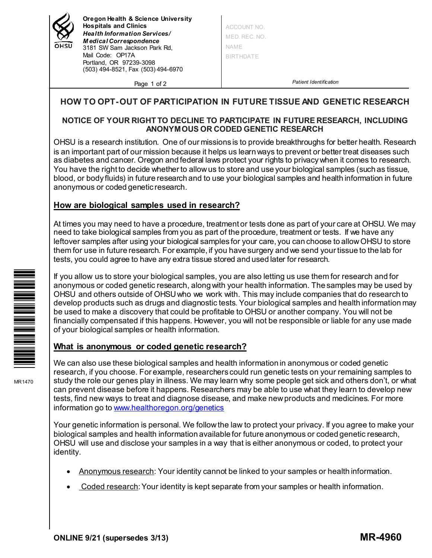

**Oregon Health & Science University Hospitals and Clinics** *Health Information Services / M edical Correspondence* 3181 SW Sam Jackson Park Rd, Mail Code: OP17A Portland, OR 97239-3098 (503) 494-8521, Fax (503) 494-6970

Page 1 of 2

ACCOUNT NO. MED. REC. NO. NAME BIRTHDATE

*Patient Identification*

# **HOW TO OPT-OUT OF PARTICIPATION IN FUTURE TISSUE AND GENETIC RESEARCH**

#### **NOTICE OF YOUR RIGHT TO DECLINE TO PARTICIPATE IN FUTURE RESEARCH, INCLUDING ANONYMOUS OR CODED GENETIC RESEARCH**

OHSU is a research institution. One of our missions is to provide breakthroughs for better health. Research is an important part of our mission because it helps us learn ways to prevent or better treat diseases such as diabetes and cancer. Oregon and federal laws protect your rights to privacy when it comes to research. You have the right to decide whether to allow us to store and use your biological samples (such as tissue, blood, or body fluids) in future research and to use your biological samples and health information in future anonymous or coded genetic research.

# **How are biological samples used in research?**

At times you may need to have a procedure, treatment or tests done as part of your care at OHSU. We may need to take biological samples from you as part of the procedure, treatment or tests. If we have any leftover samples after using your biological samples for your care, you can choose to allow OHSU to store them for use in future research. For example, if you have surgery and we send your tissue to the lab for tests, you could agree to have any extra tissue stored and used later for research.

If you allow us to store your biological samples, you are also letting us use them for research and for anonymous or coded genetic research, along with your health information. The samples may be used by OHSU and others outside of OHSU who we work with. This may include companies that do research to develop products such as drugs and diagnostic tests. Your biological samples and health information may be used to make a discovery that could be profitable to OHSU or another company. You will not be financially compensated if this happens. However, you will not be responsible or liable for any use made of your biological samples or health information.

### **What is anonymous or coded genetic research?**

We can also use these biological samples and health information in anonymous or coded genetic research, if you choose. For example, researchers could run genetic tests on your remaining samples to study the role our genes play in illness. We may learn why some people get sick and others don't, or what can prevent disease before it happens. Researchers may be able to use what they learn to develop new tests, find new ways to treat and diagnose disease, and make new products and medicines. For more information go to [www.healthoregon.org/genetics](http://www.healthoregon.org/genetics)

Your genetic information is personal. We follow the law to protect your privacy. If you agree to make your biological samples and health information available for future anonymous or coded genetic research, OHSU will use and disclose your samples in a way that is either anonymous or coded, to protect your identity.

- Anonymous research: Your identity cannot be linked to your samples or health information.
- Coded research: Your identity is kept separate from your samples or health information.



MR1470